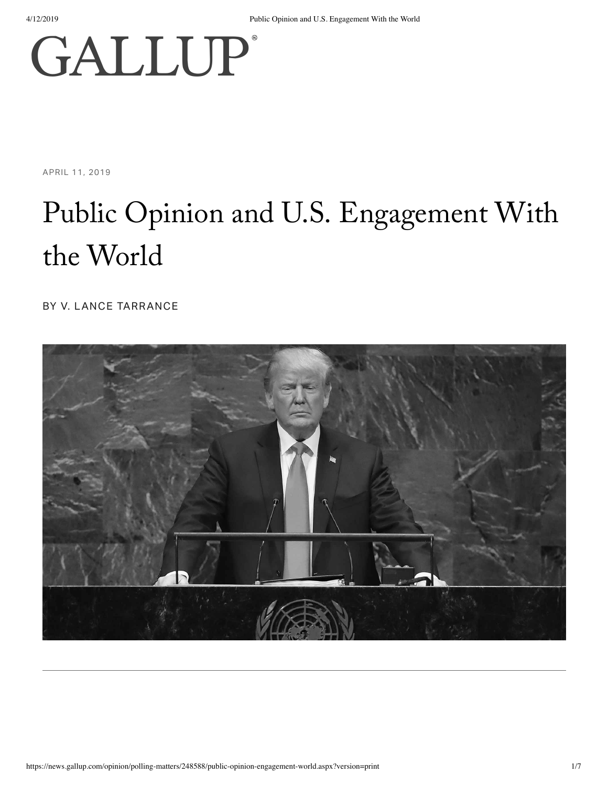# **GALLUP**®

APRIL 11, 2019

## Public Opinion and U.S. Engagement With the World

BY V. LANCE TARRANCE

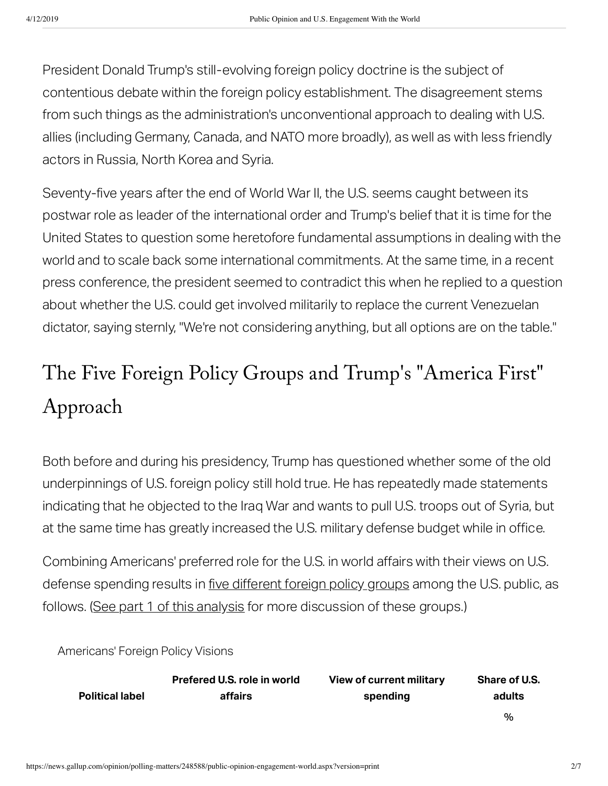President Donald Trump's still-evolving foreign policy doctrine is the subject of contentious debate within the foreign policy establishment. The disagreement stems from such things as the administration's unconventional approach to dealing with U.S. allies (including Germany, Canada, and NATO more broadly), as well as with less friendly actors in Russia, North Korea and Syria.

Seventy-five years after the end of World War II, the U.S. seems caught between its postwar role as leader of the international order and Trump's belief that it is time for the United States to question some heretofore fundamental assumptions in dealing with the world and to scale back some international commitments. At the same time, in a recent press conference, the president seemed to contradict this when he replied to a question about whether the U.S. could get involved militarily to replace the current Venezuelan dictator, saying sternly, "We're not considering anything, but all options are on the table."

#### The Five Foreign Policy Groups and Trump' s "America First" Approach

Both before and during his presidency, Trump has questioned whether some of the old underpinnings of U.S. foreign policy still hold true. He has repeatedly made statements indicating that he objected to the Iraq War and wants to pull U.S. troops out of Syria, but at the same time has greatly increased the U.S. military defense budget while in office.

Combining Americans' preferred role for the U.S. in world affairs with their views on U.S. defense spending results in five [different](https://news.gallup.com/opinion/polling-matters/248354/measuring-fault-lines-current-foreign-policy.aspx?g_source=link_newsv9&g_campaign=item_248588&g_medium=copy) foreign policy groups among the U.S. public, as follows. (See part 1 of this analysis for more discussion of these groups.)

Americans' Foreign Policy Visions

|                        | Prefered U.S. role in world | <b>View of current military</b> | <b>Share of U.S.</b> |
|------------------------|-----------------------------|---------------------------------|----------------------|
| <b>Political label</b> | affairs                     | spending                        | adults               |
|                        |                             |                                 | %                    |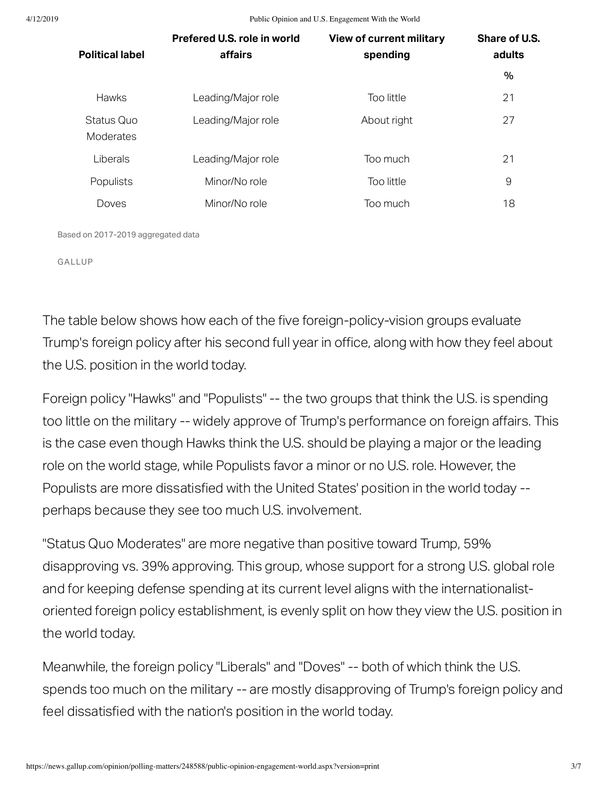4/12/2019 Public Opinion and U.S. Engagement With the World

| <b>Political label</b>  | Prefered U.S. role in world<br>affairs | <b>View of current military</b><br>spending | Share of U.S.<br>adults |
|-------------------------|----------------------------------------|---------------------------------------------|-------------------------|
|                         |                                        |                                             | $\%$                    |
| <b>Hawks</b>            | Leading/Major role                     | Too little                                  | 21                      |
| Status Quo<br>Moderates | Leading/Major role                     | About right                                 | 27                      |
| Liberals                | Leading/Major role                     | Too much                                    | 21                      |
| Populists               | Minor/No role                          | Too little                                  | 9                       |
| Doves                   | Minor/No role                          | Too much                                    | 18                      |

Based on 2017-2019 aggregated data

GALLUP

The table below shows how each of the five foreign-policy-vision groups evaluate Trump's foreign policy after his second full year in office, along with how they feel about the U.S. position in the world today.

Foreign policy "Hawks" and "Populists" -- the two groups that think the U.S. is spending too little on the military -- widely approve of Trump's performance on foreign affairs. This is the case even though Hawks think the U.S. should be playing a major or the leading role on the world stage, while Populists favor a minor or no U.S. role. However, the Populists are more dissatisfied with the United States' position in the world today -perhaps because they see too much U.S. involvement.

"Status Quo Moderates" are more negative than positive toward Trump, 59% disapproving vs. 39% approving. This group, whose support for a strong U.S. global role and for keeping defense spending at its current level aligns with the internationalistoriented foreign policy establishment, is evenly split on how they view the U.S. position in the world today.

Meanwhile, the foreign policy "Liberals" and "Doves" -- both of which think the U.S. spends too much on the military -- are mostly disapproving of Trump's foreign policy and feel dissatisfied with the nation's position in the world today.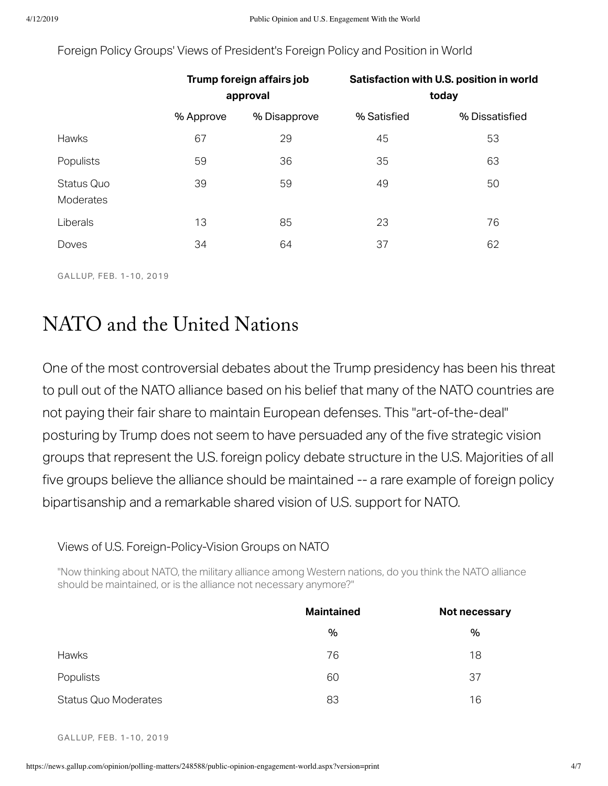|                         | Trump foreign affairs job<br>approval |              | Satisfaction with U.S. position in world<br>today |                |
|-------------------------|---------------------------------------|--------------|---------------------------------------------------|----------------|
|                         | % Approve                             | % Disapprove | % Satisfied                                       | % Dissatisfied |
| Hawks                   | 67                                    | 29           | 45                                                | 53             |
| Populists               | 59                                    | 36           | 35                                                | 63             |
| Status Quo<br>Moderates | 39                                    | 59           | 49                                                | 50             |
| Liberals                | 13                                    | 85           | 23                                                | 76             |
| Doves                   | 34                                    | 64           | 37                                                | 62             |

Foreign Policy Groups' Views of President's Foreign Policy and Position in World

GALLUP, FEB. 1-10, 2019

#### NATO and the United Nation

One of the most controversial debates about the Trump presidency has been his threat to pull out of the NATO alliance based on his belief that many of the NATO countries are not paying their fair share to maintain European defenses. This "art-of-the-deal" posturing by Trump does not seem to have persuaded any of the five strategic vision groups that represent the U.S. foreign policy debate structure in the U.S. Majorities of all five groups believe the alliance should be maintained -- a rare example of foreign policy bipartisanship and a remarkable shared vision of U.S. support for NATO.

#### Views of U.S. Foreign-Policy-Vision Groups on NATO

"Now thinking about NATO, the military alliance among Western nations, do you think the NATO alliance should be maintained, or is the alliance not necessary anymore?"

|                             | <b>Maintained</b> | Not necessary |  |
|-----------------------------|-------------------|---------------|--|
|                             | %                 | %             |  |
| Hawks                       | 76                | 18            |  |
| Populists                   | 60                | 37            |  |
| <b>Status Quo Moderates</b> | 83                | 16            |  |

GALLUP, FEB. 1-10, 2019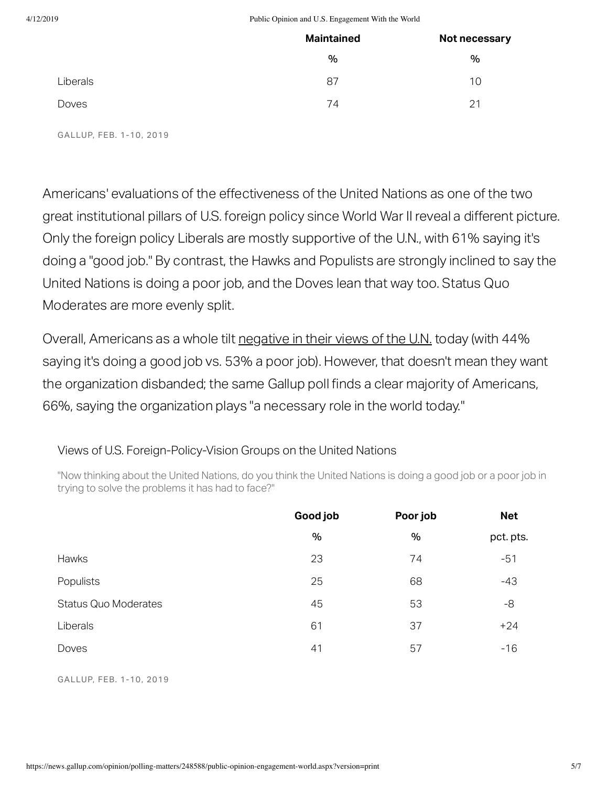#### 4/12/2019 Public Opinion and U.S. Engagement With the World

|          | <b>Maintained</b> | Not necessary |  |
|----------|-------------------|---------------|--|
|          | %                 | %             |  |
| Liberals | 87                | 10            |  |
| Doves    | 74                | 21            |  |

GALLUP, FEB. 1-10, 2019

Americans' evaluations of the effectiveness of the United Nations as one of the two great institutional pillars of U.S. foreign policy since World War II reveal a different picture. Only the foreign policy Liberals are mostly supportive of the U.N., with 61% saying it's doing a "good job." By contrast, the Hawks and Populists are strongly inclined to say the United Nations is doing a poor job, and the Doves lean that way too. Status Quo Moderates are more evenly split.

Overall, Americans as a whole tilt [negative](https://news.gallup.com/poll/247190/majorities-americans-need-nato.aspx?g_source=link_newsv9&g_campaign=item_248588&g_medium=copy) in their views of the U.N. today (with 44% saying it's doing a good job vs. 53% a poor job). However, that doesn't mean they want the organization disbanded; the same Gallup poll finds a clear majority of Americans, 66%, saying the organization plays "a necessary role in the world today."

#### Views of U.S. Foreign-Policy-Vision Groups on the United Nations

"Now thinking about the United Nations, do you think the United Nations is doing a good job or a poor job in trying to solve the problems it has had to face?"

|                             | Good job | Poor job | <b>Net</b> |
|-----------------------------|----------|----------|------------|
|                             | %        | %        | pct. pts.  |
| Hawks                       | 23       | 74       | $-51$      |
| Populists                   | 25       | 68       | $-43$      |
| <b>Status Quo Moderates</b> | 45       | 53       | -8         |
| Liberals                    | 61       | 37       | $+24$      |
| Doves                       | 41       | 57       | $-16$      |

GALLUP, FEB. 1-10, 2019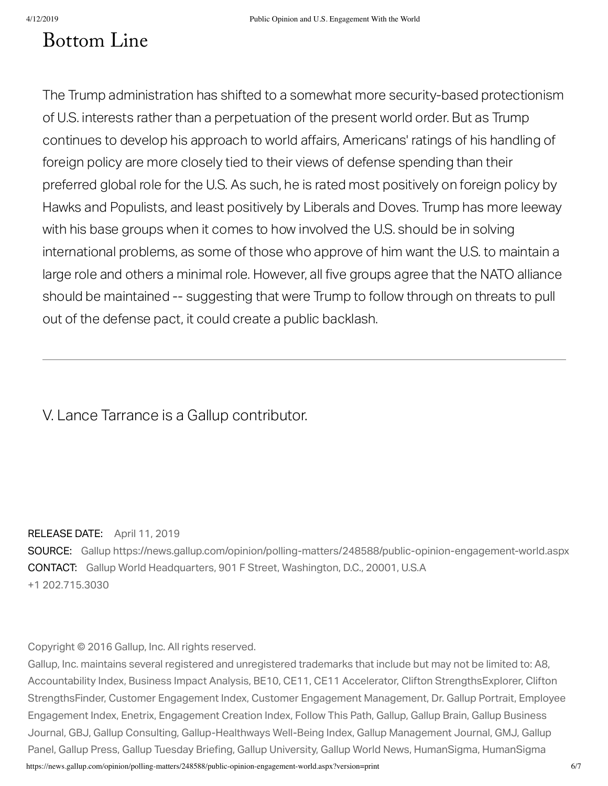### **Bottom Line**

The Trump administration has shifted to a somewhat more security-based protectionism of U.S. interests rather than a perpetuation of the present world order. But as Trump continues to develop his approach to world affairs, Americans' ratings of his handling of foreign policy are more closely tied to their views of defense spending than their preferred global role for the U.S. As such, he is rated most positively on foreign policy by Hawks and Populists, and least positively by Liberals and Doves. Trump has more leeway with his base groups when it comes to how involved the U.S. should be in solving international problems, as some of those who approve of him want the U.S. to maintain a large role and others a minimal role. However, all five groups agree that the NATO alliance should be maintained -- suggesting that were Trump to follow through on threats to pull out of the defense pact, it could create a public backlash.

#### V. Lance Tarrance is a Gallup contributor.

#### RELEASE DATE: April 11, 2019

SOURCE: Gallup https://news.gallup.com/opinion/polling-matters/248588/public-opinion-engagement-world.aspx CONTACT: Gallup World Headquarters, 901 F Street, Washington, D.C., 20001, U.S.A +1 202.715.3030

Copyright © 2016 Gallup, Inc. All rights reserved.

https://news.gallup.com/opinion/polling-matters/248588/public-opinion-engagement-world.aspx?version=print 6/7 Gallup, Inc. maintains several registered and unregistered trademarks that include but may not be limited to: A8, Accountability Index, Business Impact Analysis, BE10, CE11, CE11 Accelerator, Clifton StrengthsExplorer, Clifton StrengthsFinder, Customer Engagement Index, Customer Engagement Management, Dr. Gallup Portrait, Employee Engagement Index, Enetrix, Engagement Creation Index, Follow This Path, Gallup, Gallup Brain, Gallup Business Journal, GBJ, Gallup Consulting, Gallup-Healthways Well-Being Index, Gallup Management Journal, GMJ, Gallup Panel, Gallup Press, Gallup Tuesday Briefing, Gallup University, Gallup World News, HumanSigma, HumanSigma